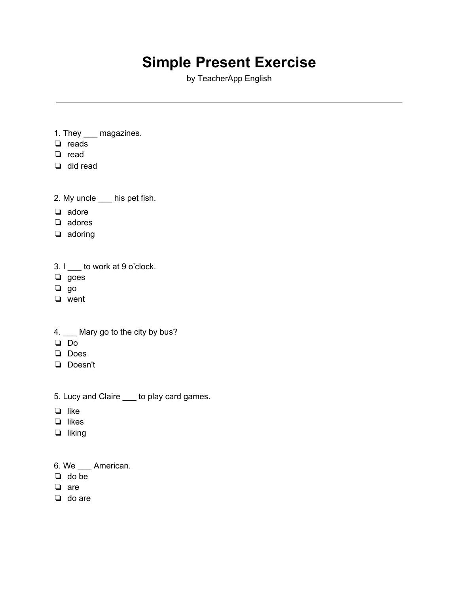## **Simple Present Exercise**

by TeacherApp English

- 1. They \_\_\_ magazines.
- ❏ reads
- ❏ read
- ❏ did read
- 2. My uncle \_\_\_ his pet fish.
- ❏ adore
- ❏ adores
- ❏ adoring
- 3. I \_\_\_ to work at 9 o'clock.
- ❏ goes
- ❏ go
- ❏ went
- 4. \_\_ Mary go to the city by bus?
- ❏ Do
- ❏ Does
- ❏ Doesn't
- 5. Lucy and Claire \_\_\_ to play card games.
- ❏ like
- ❏ likes
- ❏ liking
- 6. We \_\_\_ American.
- ❏ do be
- ❏ are
- ❏ do are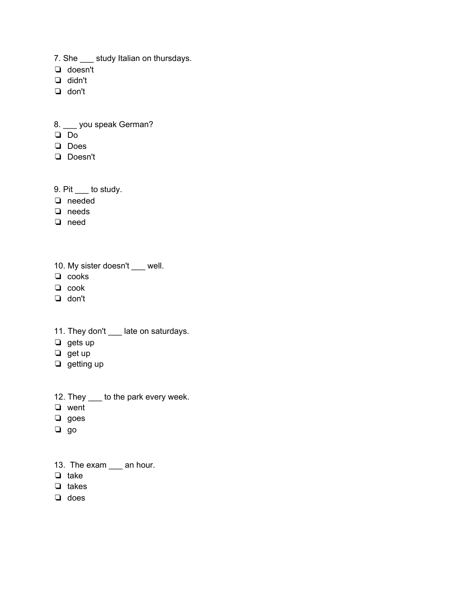- 7. She study Italian on thursdays.
- ❏ doesn't
- ❏ didn't
- ❏ don't

8. \_\_\_ you speak German?

- ❏ Do
- ❏ Does
- ❏ Doesn't
- 9. Pit \_\_\_ to study.
- ❏ needed
- ❏ needs
- ❏ need
- 10. My sister doesn't \_\_\_ well.
- ❏ cooks
- ❏ cook
- ❏ don't
- 11. They don't \_\_\_ late on saturdays.
- ❏ gets up
- ❏ get up
- ❏ getting up
- 12. They \_\_\_\_ to the park every week.
- ❏ went
- ❏ goes
- ❏ go
- 13. The exam \_\_\_ an hour.
- ❏ take
- ❏ takes
- ❏ does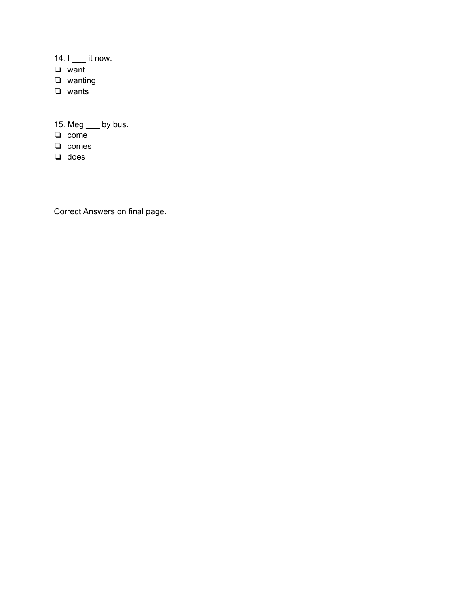14.  $I$   $\quad$  it now.

- ❏ want
- ❏ wanting
- ❏ wants

15. Meg \_\_\_ by bus.

- ❏ come
- ❏ comes
- ❏ does

Correct Answers on final page.